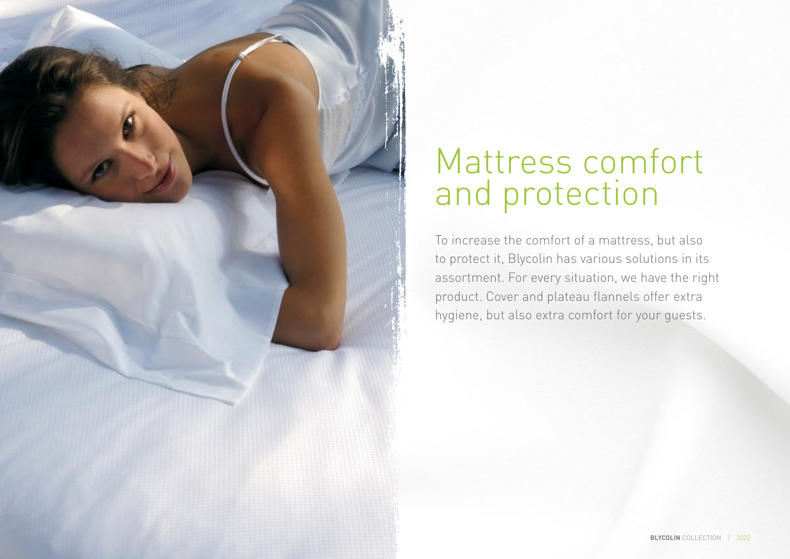

# Mattress comfort and protection

To increase the comfort of a mattress, but also to protect it, Blycolin has various solutions in its assortment. For every situation, we have the right product. Cover and plateau flannels offer extra hygiene, but also extra comfort for your guests.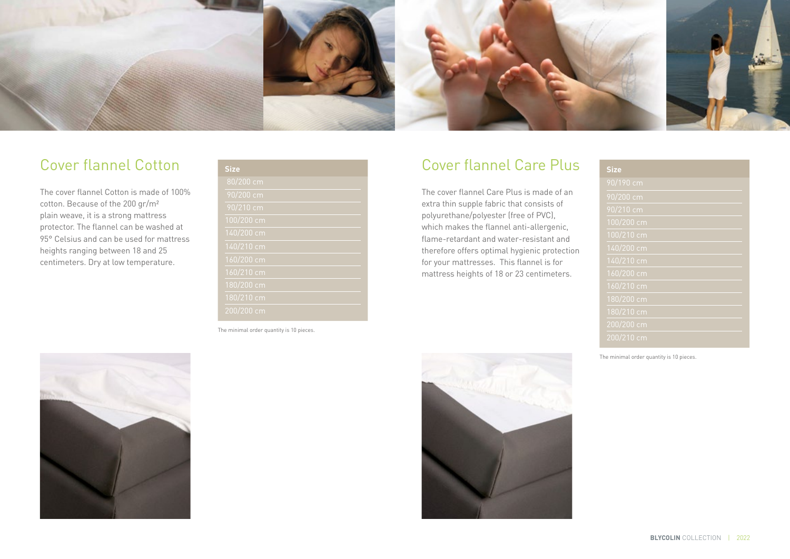

#### Cover flannel Cotton

The cover flannel Cotton is made of 100% cotton. Because of the 200 gr/m² plain weave, it is a strong mattress protector. The flannel can be washed at 95° Celsius and can be used for mattress heights ranging between 18 and 25 centimeters. Dry at low temperature.

| <b>Size</b> |
|-------------|
| $80/200$ cm |
| 90/200 cm   |
| $90/210$ cm |
| 100/200 cm  |
| 140/200 cm  |
| 140/210 cm  |
| 160/200 cm  |
| 160/210 cm  |
| 180/200 cm  |
| 180/210 cm  |
| 200/200 cm  |

The minimal order quantity is 10 pieces.

#### Cover flannel Care Plus

The cover flannel Care Plus is made of an extra thin supple fabric that consists of polyurethane/polyester (free of PVC), which makes the flannel anti-allergenic, flame-retardant and water-resistant and therefore offers optimal hygienic protection for your mattresses. This flannel is for mattress heights of 18 or 23 centimeters.

| <b>Size</b>  |
|--------------|
| 90/190 cm    |
| 90/200 cm    |
| 90/210 cm    |
| 100/200 cm   |
| 100/210 cm   |
| 140/200 cm   |
| 140/210 cm   |
| 160/200 cm   |
| 160/210 cm   |
| 180/200 cm   |
| 180/210 cm   |
| $200/200$ cm |
| 200/210 cm   |